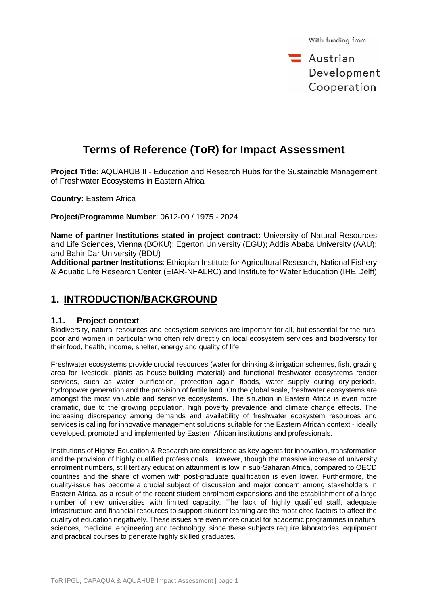$\equiv$  Austrian Development Cooperation

# **Terms of Reference (ToR) for Impact Assessment**

**Project Title:** AQUAHUB II - Education and Research Hubs for the Sustainable Management of Freshwater Ecosystems in Eastern Africa

**Country:** Eastern Africa

**Project/Programme Number**: 0612-00 / 1975 - 2024

**Name of partner Institutions stated in project contract:** University of Natural Resources and Life Sciences, Vienna (BOKU); Egerton University (EGU); Addis Ababa University (AAU); and Bahir Dar University (BDU)

**Additional partner Institutions**: Ethiopian Institute for Agricultural Research, National Fishery & Aquatic Life Research Center (EIAR-NFALRC) and Institute for Water Education (IHE Delft)

## **1. INTRODUCTION/BACKGROUND**

## **1.1. Project context**

Biodiversity, natural resources and ecosystem services are important for all, but essential for the rural poor and women in particular who often rely directly on local ecosystem services and biodiversity for their food, health, income, shelter, energy and quality of life.

Freshwater ecosystems provide crucial resources (water for drinking & irrigation schemes, fish, grazing area for livestock, plants as house-building material) and functional freshwater ecosystems render services, such as water purification, protection again floods, water supply during dry-periods, hydropower generation and the provision of fertile land. On the global scale, freshwater ecosystems are amongst the most valuable and sensitive ecosystems. The situation in Eastern Africa is even more dramatic, due to the growing population, high poverty prevalence and climate change effects. The increasing discrepancy among demands and availability of freshwater ecosystem resources and services is calling for innovative management solutions suitable for the Eastern African context - ideally developed, promoted and implemented by Eastern African institutions and professionals.

Institutions of Higher Education & Research are considered as key-agents for innovation, transformation and the provision of highly qualified professionals. However, though the massive increase of university enrolment numbers, still tertiary education attainment is low in sub-Saharan Africa, compared to OECD countries and the share of women with post-graduate qualification is even lower. Furthermore, the quality-issue has become a crucial subject of discussion and major concern among stakeholders in Eastern Africa, as a result of the recent student enrolment expansions and the establishment of a large number of new universities with limited capacity. The lack of highly qualified staff, adequate infrastructure and financial resources to support student learning are the most cited factors to affect the quality of education negatively. These issues are even more crucial for academic programmes in natural sciences, medicine, engineering and technology, since these subjects require laboratories, equipment and practical courses to generate highly skilled graduates.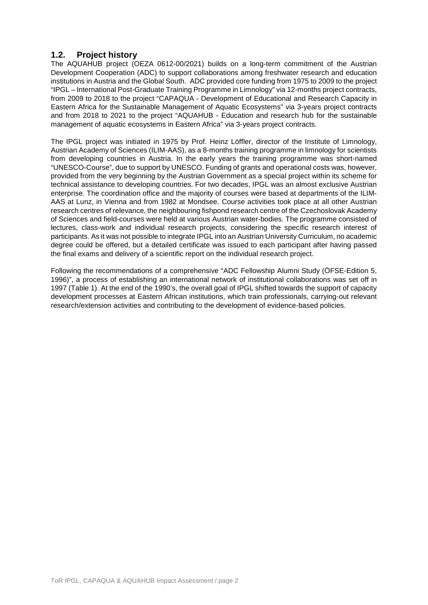## **1.2. Project history**

The AQUAHUB project (OEZA 0612-00/2021) builds on a long-term commitment of the Austrian Development Cooperation (ADC) to support collaborations among freshwater research and education institutions in Austria and the Global South. ADC provided core funding from 1975 to 2009 to the project "IPGL – International Post-Graduate Training Programme in Limnology" via 12-months project contracts, from 2009 to 2018 to the project "CAPAQUA - Development of Educational and Research Capacity in Eastern Africa for the Sustainable Management of Aquatic Ecosystems" via 3-years project contracts and from 2018 to 2021 to the project "AQUAHUB - Education and research hub for the sustainable management of aquatic ecosystems in Eastern Africa" via 3-years project contracts.

The IPGL project was initiated in 1975 by Prof. Heinz Löffler, director of the Institute of Limnology, Austrian Academy of Sciences (ILIM-AAS), as a 8-months training programme in limnology for scientists from developing countries in Austria. In the early years the training programme was short-named "UNESCO-Course", due to support by UNESCO. Funding of grants and operational costs was, however, provided from the very beginning by the Austrian Government as a special project within its scheme for technical assistance to developing countries. For two decades, IPGL was an almost exclusive Austrian enterprise. The coordination office and the majority of courses were based at departments of the ILIM-AAS at Lunz, in Vienna and from 1982 at Mondsee. Course activities took place at all other Austrian research centres of relevance, the neighbouring fishpond research centre of the Czechoslovak Academy of Sciences and field-courses were held at various Austrian water-bodies. The programme consisted of lectures, class-work and individual research projects, considering the specific research interest of participants. As it was not possible to integrate IPGL into an Austrian University Curriculum, no academic degree could be offered, but a detailed certificate was issued to each participant after having passed the final exams and delivery of a scientific report on the individual research project.

Following the recommendations of a comprehensive "ADC Fellowship Alumni Study (ÖFSE-Edition 5, 1996)", a process of establishing an international network of institutional collaborations was set off in 1997 (Table 1). At the end of the 1990's, the overall goal of IPGL shifted towards the support of capacity development processes at Eastern African institutions, which train professionals, carrying-out relevant research/extension activities and contributing to the development of evidence-based policies.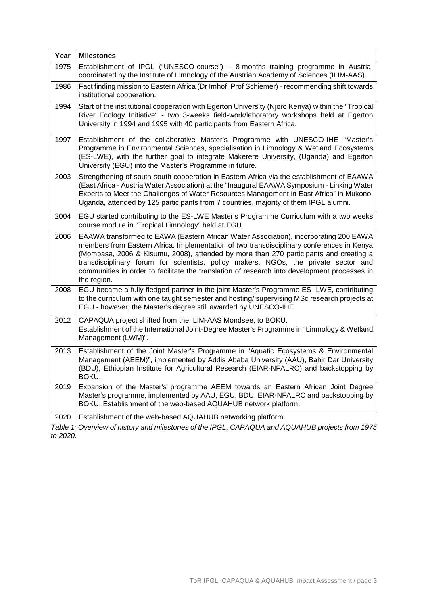| Year | <b>Milestones</b>                                                                                                                                                                                                                                                                                                                                                                                                                                                                 |
|------|-----------------------------------------------------------------------------------------------------------------------------------------------------------------------------------------------------------------------------------------------------------------------------------------------------------------------------------------------------------------------------------------------------------------------------------------------------------------------------------|
| 1975 | Establishment of IPGL ("UNESCO-course") - 8-months training programme in Austria,<br>coordinated by the Institute of Limnology of the Austrian Academy of Sciences (ILIM-AAS).                                                                                                                                                                                                                                                                                                    |
| 1986 | Fact finding mission to Eastern Africa (Dr Imhof, Prof Schiemer) - recommending shift towards<br>institutional cooperation.                                                                                                                                                                                                                                                                                                                                                       |
| 1994 | Start of the institutional cooperation with Egerton University (Njoro Kenya) within the "Tropical<br>River Ecology Initiative" - two 3-weeks field-work/laboratory workshops held at Egerton<br>University in 1994 and 1995 with 40 participants from Eastern Africa.                                                                                                                                                                                                             |
| 1997 | Establishment of the collaborative Master's Programme with UNESCO-IHE "Master's<br>Programme in Environmental Sciences, specialisation in Limnology & Wetland Ecosystems<br>(ES-LWE), with the further goal to integrate Makerere University, (Uganda) and Egerton<br>University (EGU) into the Master's Programme in future.                                                                                                                                                     |
| 2003 | Strengthening of south-south cooperation in Eastern Africa via the establishment of EAAWA<br>(East Africa - Austria Water Association) at the "Inaugural EAAWA Symposium - Linking Water<br>Experts to Meet the Challenges of Water Resources Management in East Africa" in Mukono,<br>Uganda, attended by 125 participants from 7 countries, majority of them IPGL alumni.                                                                                                       |
| 2004 | EGU started contributing to the ES-LWE Master's Programme Curriculum with a two weeks<br>course module in "Tropical Limnology" held at EGU.                                                                                                                                                                                                                                                                                                                                       |
| 2006 | EAAWA transformed to EAWA (Eastern African Water Association), incorporating 200 EAWA<br>members from Eastern Africa. Implementation of two transdisciplinary conferences in Kenya<br>(Mombasa, 2006 & Kisumu, 2008), attended by more than 270 participants and creating a<br>transdisciplinary forum for scientists, policy makers, NGOs, the private sector and<br>communities in order to facilitate the translation of research into development processes in<br>the region. |
| 2008 | EGU became a fully-fledged partner in the joint Master's Programme ES- LWE, contributing<br>to the curriculum with one taught semester and hosting/ supervising MSc research projects at<br>EGU - however, the Master's degree still awarded by UNESCO-IHE.                                                                                                                                                                                                                       |
| 2012 | CAPAQUA project shifted from the ILIM-AAS Mondsee, to BOKU.<br>Establishment of the International Joint-Degree Master's Programme in "Limnology & Wetland<br>Management (LWM)".                                                                                                                                                                                                                                                                                                   |
| 2013 | Establishment of the Joint Master's Programme in "Aquatic Ecosystems & Environmental<br>Management (AEEM)", implemented by Addis Ababa University (AAU), Bahir Dar University<br>(BDU), Ethiopian Institute for Agricultural Research (EIAR-NFALRC) and backstopping by<br>BOKU.                                                                                                                                                                                                  |
| 2019 | Expansion of the Master's programme AEEM towards an Eastern African Joint Degree<br>Master's programme, implemented by AAU, EGU, BDU, EIAR-NFALRC and backstopping by<br>BOKU. Establishment of the web-based AQUAHUB network platform.                                                                                                                                                                                                                                           |
| 2020 | Establishment of the web-based AQUAHUB networking platform.                                                                                                                                                                                                                                                                                                                                                                                                                       |

*Table 1: Overview of history and milestones of the IPGL, CAPAQUA and AQUAHUB projects from 1975 to 2020.*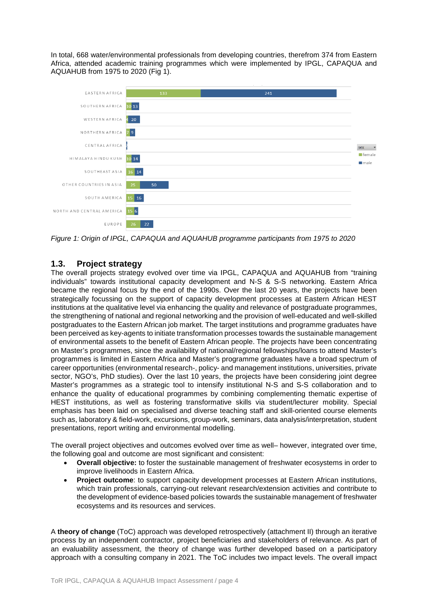In total, 668 water/environmental professionals from developing countries, therefrom 374 from Eastern Africa, attended academic training programmes which were implemented by IPGL, CAPAQUA and AQUAHUB from 1975 to 2020 (Fig 1).



*Figure 1: Origin of IPGL, CAPAQUA and AQUAHUB programme participants from 1975 to 2020*

## **1.3. Project strategy**

The overall projects strategy evolved over time via IPGL, CAPAQUA and AQUAHUB from "training individuals" towards institutional capacity development and N-S & S-S networking. Eastern Africa became the regional focus by the end of the 1990s. Over the last 20 years, the projects have been strategically focussing on the support of capacity development processes at Eastern African HEST institutions at the qualitative level via enhancing the quality and relevance of postgraduate programmes, the strengthening of national and regional networking and the provision of well-educated and well-skilled postgraduates to the Eastern African job market. The target institutions and programme graduates have been perceived as key-agents to initiate transformation processes towards the sustainable management of environmental assets to the benefit of Eastern African people. The projects have been concentrating on Master's programmes, since the availability of national/regional fellowships/loans to attend Master's programmes is limited in Eastern Africa and Master's programme graduates have a broad spectrum of career opportunities (environmental research-, policy- and management institutions, universities, private sector, NGO's, PhD studies). Over the last 10 years, the projects have been considering joint degree Master's programmes as a strategic tool to intensify institutional N-S and S-S collaboration and to enhance the quality of educational programmes by combining complementing thematic expertise of HEST institutions, as well as fostering transformative skills via student/lecturer mobility. Special emphasis has been laid on specialised and diverse teaching staff and skill-oriented course elements such as, laboratory & field-work, excursions, group-work, seminars, data analysis/interpretation, student presentations, report writing and environmental modelling.

The overall project objectives and outcomes evolved over time as well– however, integrated over time, the following goal and outcome are most significant and consistent:

- **Overall objective:** to foster the sustainable management of freshwater ecosystems in order to improve livelihoods in Eastern Africa.
- **Project outcome:** to support capacity development processes at Eastern African institutions, which train professionals, carrying-out relevant research/extension activities and contribute to the development of evidence-based policies towards the sustainable management of freshwater ecosystems and its resources and services.

A **theory of change** (ToC) approach was developed retrospectively (attachment II) through an iterative process by an independent contractor, project beneficiaries and stakeholders of relevance. As part of an evaluability assessment, the theory of change was further developed based on a participatory approach with a consulting company in 2021. The ToC includes two impact levels. The overall impact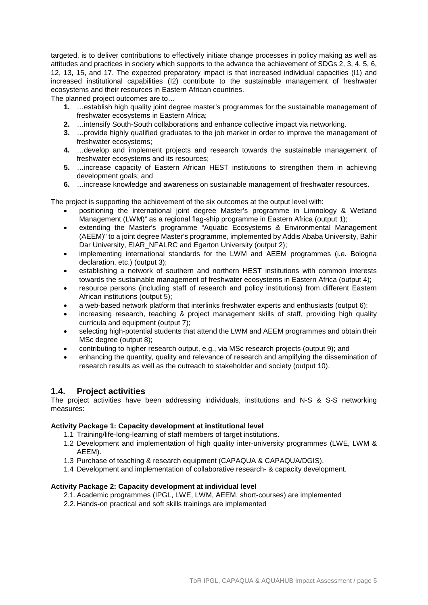targeted, is to deliver contributions to effectively initiate change processes in policy making as well as attitudes and practices in society which supports to the advance the achievement of SDGs 2, 3, 4, 5, 6, 12, 13, 15, and 17. The expected preparatory impact is that increased individual capacities (I1) and increased institutional capabilities (I2) contribute to the sustainable management of freshwater ecosystems and their resources in Eastern African countries.

The planned project outcomes are to...

- **1.** …establish high quality joint degree master's programmes for the sustainable management of freshwater ecosystems in Eastern Africa;
- **2.** …intensify South-South collaborations and enhance collective impact via networking.
- **3.** …provide highly qualified graduates to the job market in order to improve the management of freshwater ecosystems;
- **4.** …develop and implement projects and research towards the sustainable management of freshwater ecosystems and its resources;
- **5.** …increase capacity of Eastern African HEST institutions to strengthen them in achieving development goals; and
- **6.** …increase knowledge and awareness on sustainable management of freshwater resources.

The project is supporting the achievement of the six outcomes at the output level with:

- positioning the international joint degree Master's programme in Limnology & Wetland Management (LWM)" as a regional flag-ship programme in Eastern Africa (output 1);
- extending the Master's programme "Aquatic Ecosystems & Environmental Management (AEEM)" to a joint degree Master's programme, implemented by Addis Ababa University, Bahir Dar University, EIAR\_NFALRC and Egerton University (output 2);
- implementing international standards for the LWM and AEEM programmes (i.e. Bologna declaration, etc.) (output 3);
- establishing a network of southern and northern HEST institutions with common interests towards the sustainable management of freshwater ecosystems in Eastern Africa (output 4);
- resource persons (including staff of research and policy institutions) from different Eastern African institutions (output 5);
- a web-based network platform that interlinks freshwater experts and enthusiasts (output 6);
- increasing research, teaching & project management skills of staff, providing high quality curricula and equipment (output 7);
- selecting high-potential students that attend the LWM and AEEM programmes and obtain their MSc degree (output 8);
- contributing to higher research output, e.g., via MSc research projects (output 9); and
- enhancing the quantity, quality and relevance of research and amplifying the dissemination of research results as well as the outreach to stakeholder and society (output 10).

### **1.4. Project activities**

The project activities have been addressing individuals, institutions and N-S & S-S networking measures:

#### **Activity Package 1: Capacity development at institutional level**

- 1.1 Training/life-long-learning of staff members of target institutions.
- 1.2 Development and implementation of high quality inter-university programmes (LWE, LWM & AEEM).
- 1.3 Purchase of teaching & research equipment (CAPAQUA & CAPAQUA/DGIS).
- 1.4 Development and implementation of collaborative research- & capacity development.

### **Activity Package 2: Capacity development at individual level**

- 2.1.Academic programmes (IPGL, LWE, LWM, AEEM, short-courses) are implemented
- 2.2. Hands-on practical and soft skills trainings are implemented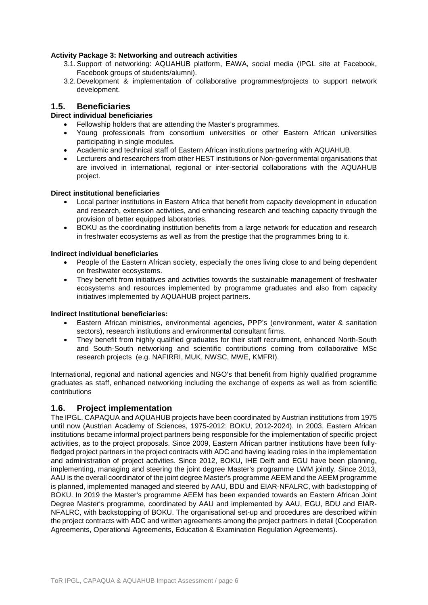### **Activity Package 3: Networking and outreach activities**

- 3.1.Support of networking: AQUAHUB platform, EAWA, social media (IPGL site at Facebook, Facebook groups of students/alumni).
- 3.2. Development & implementation of collaborative programmes/projects to support network development.

## **1.5. Beneficiaries**

## **Direct individual beneficiaries**

- Fellowship holders that are attending the Master's programmes.
- Young professionals from consortium universities or other Eastern African universities participating in single modules.
- Academic and technical staff of Eastern African institutions partnering with AQUAHUB.
- Lecturers and researchers from other HEST institutions or Non-governmental organisations that are involved in international, regional or inter-sectorial collaborations with the AQUAHUB project.

#### **Direct institutional beneficiaries**

- Local partner institutions in Eastern Africa that benefit from capacity development in education and research, extension activities, and enhancing research and teaching capacity through the provision of better equipped laboratories.
- BOKU as the coordinating institution benefits from a large network for education and research in freshwater ecosystems as well as from the prestige that the programmes bring to it.

#### **Indirect individual beneficiaries**

- People of the Eastern African society, especially the ones living close to and being dependent on freshwater ecosystems.
- They benefit from initiatives and activities towards the sustainable management of freshwater ecosystems and resources implemented by programme graduates and also from capacity initiatives implemented by AQUAHUB project partners.

#### **Indirect Institutional beneficiaries:**

- Eastern African ministries, environmental agencies, PPP's (environment, water & sanitation sectors), research institutions and environmental consultant firms.
- They benefit from highly qualified graduates for their staff recruitment, enhanced North-South and South-South networking and scientific contributions coming from collaborative MSc research projects (e.g. NAFIRRI, MUK, NWSC, MWE, KMFRI).

International, regional and national agencies and NGO's that benefit from highly qualified programme graduates as staff, enhanced networking including the exchange of experts as well as from scientific contributions

## **1.6. Project implementation**

The IPGL, CAPAQUA and AQUAHUB projects have been coordinated by Austrian institutions from 1975 until now (Austrian Academy of Sciences, 1975-2012; BOKU, 2012-2024). In 2003, Eastern African institutions became informal project partners being responsible for the implementation of specific project activities, as to the project proposals. Since 2009, Eastern African partner institutions have been fullyfledged project partners in the project contracts with ADC and having leading roles in the implementation and administration of project activities. Since 2012, BOKU, IHE Delft and EGU have been planning, implementing, managing and steering the joint degree Master's programme LWM jointly. Since 2013, AAU is the overall coordinator of the joint degree Master's programme AEEM and the AEEM programme is planned, implemented managed and steered by AAU, BDU and EIAR-NFALRC, with backstopping of BOKU. In 2019 the Master's programme AEEM has been expanded towards an Eastern African Joint Degree Master's programme, coordinated by AAU and implemented by AAU, EGU, BDU and EIAR-NFALRC, with backstopping of BOKU. The organisational set-up and procedures are described within the project contracts with ADC and written agreements among the project partners in detail (Cooperation Agreements, Operational Agreements, Education & Examination Regulation Agreements).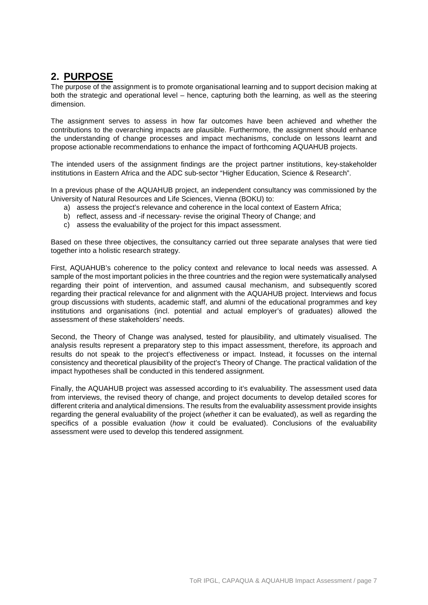# **2. PURPOSE**

The purpose of the assignment is to promote organisational learning and to support decision making at both the strategic and operational level – hence, capturing both the learning, as well as the steering dimension.

The assignment serves to assess in how far outcomes have been achieved and whether the contributions to the overarching impacts are plausible. Furthermore, the assignment should enhance the understanding of change processes and impact mechanisms, conclude on lessons learnt and propose actionable recommendations to enhance the impact of forthcoming AQUAHUB projects.

The intended users of the assignment findings are the project partner institutions, key-stakeholder institutions in Eastern Africa and the ADC sub-sector "Higher Education, Science & Research".

In a previous phase of the AQUAHUB project, an independent consultancy was commissioned by the University of Natural Resources and Life Sciences, Vienna (BOKU) to:

- a) assess the project's relevance and coherence in the local context of Eastern Africa;
- b) reflect, assess and -if necessary- revise the original Theory of Change; and
- c) assess the evaluability of the project for this impact assessment.

Based on these three objectives, the consultancy carried out three separate analyses that were tied together into a holistic research strategy.

First, AQUAHUB's coherence to the policy context and relevance to local needs was assessed. A sample of the most important policies in the three countries and the region were systematically analysed regarding their point of intervention, and assumed causal mechanism, and subsequently scored regarding their practical relevance for and alignment with the AQUAHUB project. Interviews and focus group discussions with students, academic staff, and alumni of the educational programmes and key institutions and organisations (incl. potential and actual employer's of graduates) allowed the assessment of these stakeholders' needs.

Second, the Theory of Change was analysed, tested for plausibility, and ultimately visualised. The analysis results represent a preparatory step to this impact assessment, therefore, its approach and results do not speak to the project's effectiveness or impact. Instead, it focusses on the internal consistency and theoretical plausibility of the project's Theory of Change. The practical validation of the impact hypotheses shall be conducted in this tendered assignment.

Finally, the AQUAHUB project was assessed according to it's evaluability. The assessment used data from interviews, the revised theory of change, and project documents to develop detailed scores for different criteria and analytical dimensions. The results from the evaluability assessment provide insights regarding the general evaluability of the project (*whether* it can be evaluated), as well as regarding the specifics of a possible evaluation (*how* it could be evaluated). Conclusions of the evaluability assessment were used to develop this tendered assignment.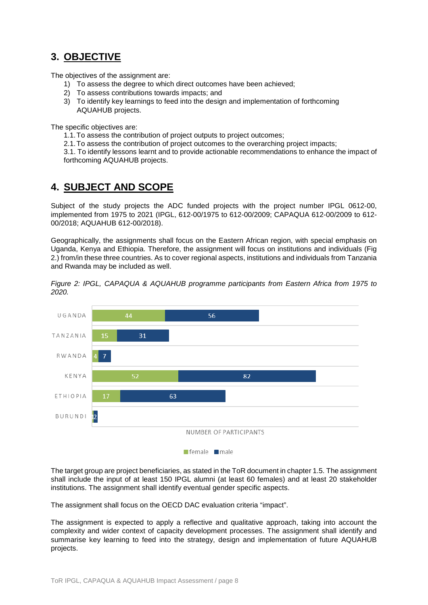# **3. OBJECTIVE**

The objectives of the assignment are:

- 1) To assess the degree to which direct outcomes have been achieved;
- 2) To assess contributions towards impacts; and
- 3) To identify key learnings to feed into the design and implementation of forthcoming AQUAHUB projects.

The specific objectives are:

- 1.1.To assess the contribution of project outputs to project outcomes;
- 2.1.To assess the contribution of project outcomes to the overarching project impacts;

3.1. To identify lessons learnt and to provide actionable recommendations to enhance the impact of forthcoming AQUAHUB projects.

# **4. SUBJECT AND SCOPE**

Subject of the study projects the ADC funded projects with the project number IPGL 0612-00, implemented from 1975 to 2021 (IPGL, 612-00/1975 to 612-00/2009; CAPAQUA 612-00/2009 to 612- 00/2018; AQUAHUB 612-00/2018).

Geographically, the assignments shall focus on the Eastern African region, with special emphasis on Uganda, Kenya and Ethiopia. Therefore, the assignment will focus on institutions and individuals (Fig 2.) from/in these three countries. As to cover regional aspects, institutions and individuals from Tanzania and Rwanda may be included as well.





The target group are project beneficiaries, as stated in the ToR document in chapter 1.5. The assignment shall include the input of at least 150 IPGL alumni (at least 60 females) and at least 20 stakeholder institutions. The assignment shall identify eventual gender specific aspects.

The assignment shall focus on the OECD DAC evaluation criteria "impact".

The assignment is expected to apply a reflective and qualitative approach, taking into account the complexity and wider context of capacity development processes. The assignment shall identify and summarise key learning to feed into the strategy, design and implementation of future AQUAHUB projects.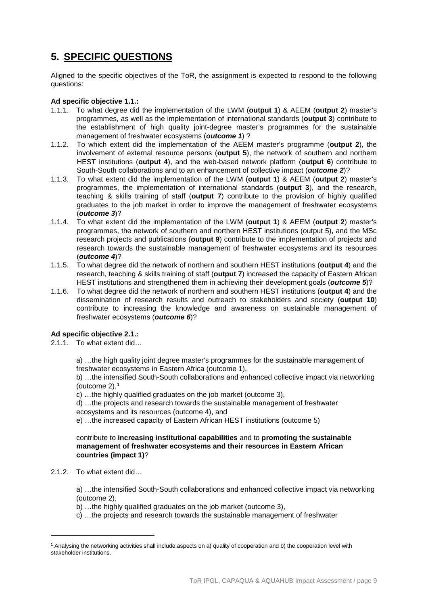# **5. SPECIFIC QUESTIONS**

Aligned to the specific objectives of the ToR, the assignment is expected to respond to the following questions:

### **Ad specific objective 1.1.:**

- 1.1.1. To what degree did the implementation of the LWM (**output 1**) & AEEM (**output 2**) master's programmes, as well as the implementation of international standards (**output 3**) contribute to the establishment of high quality joint-degree master's programmes for the sustainable management of freshwater ecosystems (*outcome 1*) ?
- 1.1.2. To which extent did the implementation of the AEEM master's programme (**output 2**), the involvement of external resource persons (**output 5**), the network of southern and northern HEST institutions (**output 4**), and the web-based network platform (**output 6**) contribute to South-South collaborations and to an enhancement of collective impact (*outcome 2*)?
- 1.1.3. To what extent did the implementation of the LWM (**output 1**) & AEEM (**output 2**) master's programmes, the implementation of international standards (**output 3**), and the research, teaching & skills training of staff (**output 7**) contribute to the provision of highly qualified graduates to the job market in order to improve the management of freshwater ecosystems (*outcome 3*)?
- 1.1.4. To what extent did the implementation of the LWM (**output 1**) & AEEM (**output 2**) master's programmes, the network of southern and northern HEST institutions (output 5), and the MSc research projects and publications (**output 9**) contribute to the implementation of projects and research towards the sustainable management of freshwater ecosystems and its resources (*outcome 4*)?
- 1.1.5. To what degree did the network of northern and southern HEST institutions (**output 4**) and the research, teaching & skills training of staff (**output 7**) increased the capacity of Eastern African HEST institutions and strengthened them in achieving their development goals (*outcome 5*)?
- 1.1.6. To what degree did the network of northern and southern HEST institutions (**output 4**) and the dissemination of research results and outreach to stakeholders and society (**output 10**) contribute to increasing the knowledge and awareness on sustainable management of freshwater ecosystems (*outcome 6*)?

## **Ad specific objective 2.1.:**

2.1.1. To what extent did…

a) …the high quality joint degree master's programmes for the sustainable management of freshwater ecosystems in Eastern Africa (outcome 1),

b) …the intensified South-South collaborations and enhanced collective impact via networking (outcome  $2$ ),  $1$ 

c) …the highly qualified graduates on the job market (outcome 3),

d) …the projects and research towards the sustainable management of freshwater ecosystems and its resources (outcome 4), and

e) …the increased capacity of Eastern African HEST institutions (outcome 5)

### contribute to **increasing institutional capabilities** and to **promoting the sustainable management of freshwater ecosystems and their resources in Eastern African countries (impact 1)**?

2.1.2. To what extent did…

-

a) …the intensified South-South collaborations and enhanced collective impact via networking (outcome 2),

- b) …the highly qualified graduates on the job market (outcome 3),
- c) …the projects and research towards the sustainable management of freshwater

<span id="page-8-0"></span><sup>1</sup> Analysing the networking activities shall include aspects on a) quality of cooperation and b) the cooperation level with stakeholder institutions.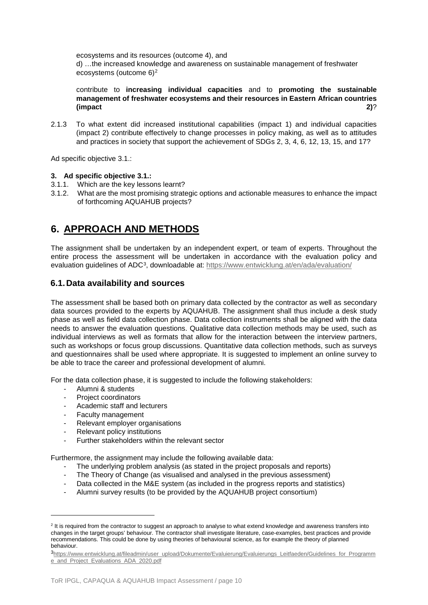ecosystems and its resources (outcome 4), and d) …the increased knowledge and awareness on sustainable management of freshwater ecosystems (outcome 6)[2](#page-9-0)

contribute to **increasing individual capacities** and to **promoting the sustainable management of freshwater ecosystems and their resources in Eastern African countries (impact 2)**?

2.1.3 To what extent did increased institutional capabilities (impact 1) and individual capacities (impact 2) contribute effectively to change processes in policy making, as well as to attitudes and practices in society that support the achievement of SDGs 2, 3, 4, 6, 12, 13, 15, and 17?

Ad specific objective 3.1.:

### **3. Ad specific objective 3.1.:**

- 3.1.1. Which are the key lessons learnt?
- 3.1.2. What are the most promising strategic options and actionable measures to enhance the impact of forthcoming AQUAHUB projects?

# **6. APPROACH AND METHODS**

The assignment shall be undertaken by an independent expert, or team of experts. Throughout the entire process the assessment will be undertaken in accordance with the evaluation policy and evaluation quidelines of ADC<sup>[3](#page-9-1)</sup>, downloadable at:<https://www.entwicklung.at/en/ada/evaluation/>

## **6.1.Data availability and sources**

The assessment shall be based both on primary data collected by the contractor as well as secondary data sources provided to the experts by AQUAHUB. The assignment shall thus include a desk study phase as well as field data collection phase. Data collection instruments shall be aligned with the data needs to answer the evaluation questions. Qualitative data collection methods may be used, such as individual interviews as well as formats that allow for the interaction between the interview partners, such as workshops or focus group discussions. Quantitative data collection methods, such as surveys and questionnaires shall be used where appropriate. It is suggested to implement an online survey to be able to trace the career and professional development of alumni.

For the data collection phase, it is suggested to include the following stakeholders:

- Alumni & students
- Project coordinators
- Academic staff and lecturers
- Faculty management

- Relevant employer organisations
- Relevant policy institutions
- Further stakeholders within the relevant sector

Furthermore, the assignment may include the following available data:

- The underlying problem analysis (as stated in the project proposals and reports)
- The Theory of Change (as visualised and analysed in the previous assessment)
- Data collected in the M&E system (as included in the progress reports and statistics)
- Alumni survey results (to be provided by the AQUAHUB project consortium)

<span id="page-9-0"></span><sup>&</sup>lt;sup>2</sup> It is required from the contractor to suggest an approach to analyse to what extend knowledge and awareness transfers into changes in the target groups' behaviour. The contractor shall investigate literature, case-examples, best practices and provide recommendations. This could be done by using theories of behavioural science, as for example the theory of planned behaviour.

<span id="page-9-1"></span>[<sup>3</sup>https://www.entwicklung.at/fileadmin/user\\_upload/Dokumente/Evaluierung/Evaluierungs\\_Leitfaeden/Guidelines\\_for\\_Programm](https://www.entwicklung.at/fileadmin/user_upload/Dokumente/Evaluierung/Evaluierungs_Leitfaeden/Guidelines_for_Programme_and_Project_Evaluations_ADA_2020.pdf) [e\\_and\\_Project\\_Evaluations\\_ADA\\_2020.pdf](https://www.entwicklung.at/fileadmin/user_upload/Dokumente/Evaluierung/Evaluierungs_Leitfaeden/Guidelines_for_Programme_and_Project_Evaluations_ADA_2020.pdf)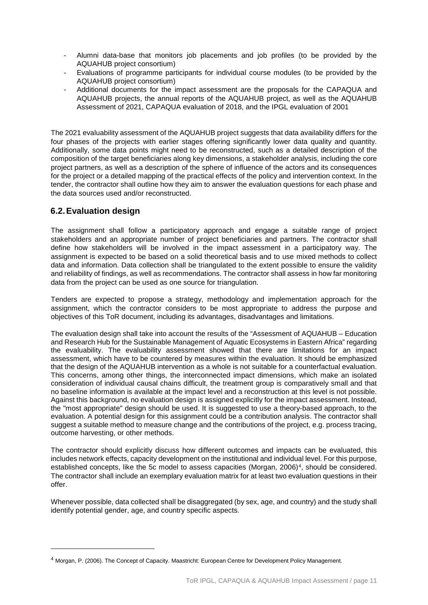- Alumni data-base that monitors job placements and job profiles (to be provided by the AQUAHUB project consortium)
- Evaluations of programme participants for individual course modules (to be provided by the AQUAHUB project consortium)
- Additional documents for the impact assessment are the proposals for the CAPAQUA and AQUAHUB projects, the annual reports of the AQUAHUB project, as well as the AQUAHUB Assessment of 2021, CAPAQUA evaluation of 2018, and the IPGL evaluation of 2001

The 2021 evaluability assessment of the AQUAHUB project suggests that data availability differs for the four phases of the projects with earlier stages offering significantly lower data quality and quantity. Additionally, some data points might need to be reconstructed, such as a detailed description of the composition of the target beneficiaries along key dimensions, a stakeholder analysis, including the core project partners, as well as a description of the sphere of influence of the actors and its consequences for the project or a detailed mapping of the practical effects of the policy and intervention context. In the tender, the contractor shall outline how they aim to answer the evaluation questions for each phase and the data sources used and/or reconstructed.

## **6.2.Evaluation design**

The assignment shall follow a participatory approach and engage a suitable range of project stakeholders and an appropriate number of project beneficiaries and partners. The contractor shall define how stakeholders will be involved in the impact assessment in a participatory way. The assignment is expected to be based on a solid theoretical basis and to use mixed methods to collect data and information. Data collection shall be triangulated to the extent possible to ensure the validity and reliability of findings, as well as recommendations. The contractor shall assess in how far monitoring data from the project can be used as one source for triangulation.

Tenders are expected to propose a strategy, methodology and implementation approach for the assignment, which the contractor considers to be most appropriate to address the purpose and objectives of this ToR document, including its advantages, disadvantages and limitations.

The evaluation design shall take into account the results of the "Assessment of AQUAHUB – Education and Research Hub for the Sustainable Management of Aquatic Ecosystems in Eastern Africa" regarding the evaluability. The evaluability assessment showed that there are limitations for an impact assessment, which have to be countered by measures within the evaluation. It should be emphasized that the design of the AQUAHUB intervention as a whole is not suitable for a counterfactual evaluation. This concerns, among other things, the interconnected impact dimensions, which make an isolated consideration of individual causal chains difficult, the treatment group is comparatively small and that no baseline information is available at the impact level and a reconstruction at this level is not possible. Against this background, no evaluation design is assigned explicitly for the impact assessment. Instead, the "most appropriate" design should be used. It is suggested to use a theory-based approach, to the evaluation. A potential design for this assignment could be a contribution analysis. The contractor shall suggest a suitable method to measure change and the contributions of the project, e.g. process tracing, outcome harvesting, or other methods.

The contractor should explicitly discuss how different outcomes and impacts can be evaluated, this includes network effects, capacity development on the institutional and individual level. For this purpose, established concepts, like the 5c model to assess capacities (Morgan, 2006)<sup>[4](#page-10-0)</sup>, should be considered. The contractor shall include an exemplary evaluation matrix for at least two evaluation questions in their offer.

Whenever possible, data collected shall be disaggregated (by sex, age, and country) and the study shall identify potential gender, age, and country specific aspects.

<span id="page-10-0"></span><sup>4</sup> Morgan, P. (2006). The Concept of Capacity. Maastricht: European Centre for Development Policy Management.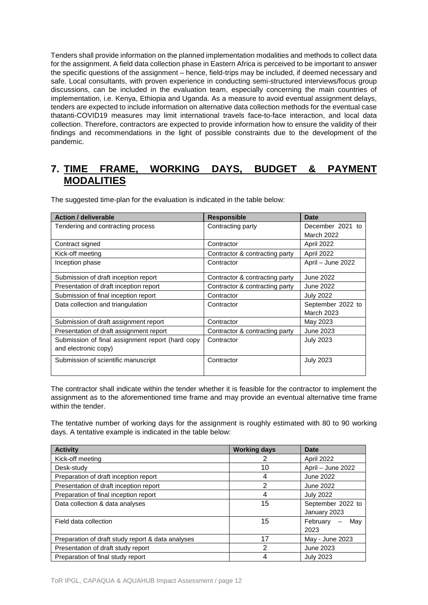Tenders shall provide information on the planned implementation modalities and methods to collect data for the assignment. A field data collection phase in Eastern Africa is perceived to be important to answer the specific questions of the assignment – hence, field-trips may be included, if deemed necessary and safe. Local consultants, with proven experience in conducting semi-structured interviews/focus group discussions, can be included in the evaluation team, especially concerning the main countries of implementation, i.e. Kenya, Ethiopia and Uganda. As a measure to avoid eventual assignment delays, tenders are expected to include information on alternative data collection methods for the eventual case thatanti-COVID19 measures may limit international travels face-to-face interaction, and local data collection. Therefore, contractors are expected to provide information how to ensure the validity of their findings and recommendations in the light of possible constraints due to the development of the pandemic.

## **7. TIME FRAME, WORKING DAYS, BUDGET & PAYMENT MODALITIES**

The suggested time-plan for the evaluation is indicated in the table below:

| <b>Action / deliverable</b>                      | <b>Responsible</b>             | Date              |
|--------------------------------------------------|--------------------------------|-------------------|
| Tendering and contracting process                | Contracting party              | December 2021 to  |
|                                                  |                                | <b>March 2022</b> |
| Contract signed                                  | Contractor                     | April 2022        |
| Kick-off meeting                                 | Contractor & contracting party | April 2022        |
| Inception phase                                  | Contractor                     | April - June 2022 |
| Submission of draft inception report             | Contractor & contracting party | June 2022         |
| Presentation of draft inception report           | Contractor & contracting party | June 2022         |
| Submission of final inception report             | Contractor                     | <b>July 2022</b>  |
| Data collection and triangulation                | Contractor                     | September 2022 to |
|                                                  |                                | <b>March 2023</b> |
| Submission of draft assignment report            | Contractor                     | May 2023          |
| Presentation of draft assignment report          | Contractor & contracting party | June 2023         |
| Submission of final assignment report (hard copy | Contractor                     | <b>July 2023</b>  |
| and electronic copy)                             |                                |                   |
| Submission of scientific manuscript              | Contractor                     | <b>July 2023</b>  |

The contractor shall indicate within the tender whether it is feasible for the contractor to implement the assignment as to the aforementioned time frame and may provide an eventual alternative time frame within the tender.

The tentative number of working days for the assignment is roughly estimated with 80 to 90 working days. A tentative example is indicated in the table below:

| <b>Activity</b>                                   | <b>Working days</b> | <b>Date</b>       |
|---------------------------------------------------|---------------------|-------------------|
| Kick-off meeting                                  | 2                   | April 2022        |
| Desk-study                                        | 10                  | April - June 2022 |
| Preparation of draft inception report             | 4                   | June 2022         |
| Presentation of draft inception report            | $\mathfrak{p}$      | June 2022         |
| Preparation of final inception report             | 4                   | <b>July 2022</b>  |
| Data collection & data analyses                   | 15                  | September 2022 to |
|                                                   |                     | January 2023      |
| Field data collection                             | 15                  | February<br>Mav   |
|                                                   |                     | 2023              |
| Preparation of draft study report & data analyses | 17                  | May - June 2023   |
| Presentation of draft study report                | 2                   | June 2023         |
| Preparation of final study report                 | 4                   | <b>July 2023</b>  |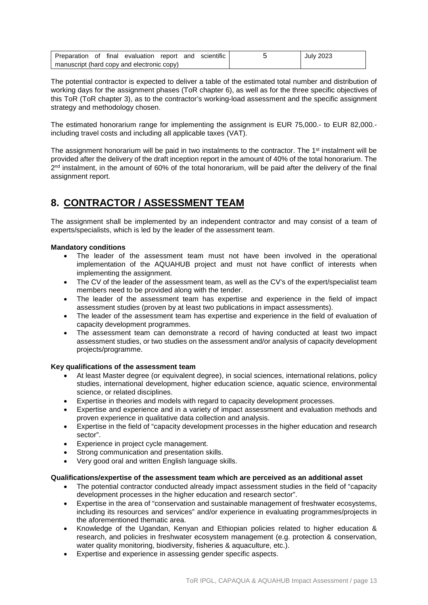| Preparation of final evaluation report and scientific |  |  |  |  |  |  | July 2023 |
|-------------------------------------------------------|--|--|--|--|--|--|-----------|
| manuscript (hard copy and electronic copy)            |  |  |  |  |  |  |           |

The potential contractor is expected to deliver a table of the estimated total number and distribution of working days for the assignment phases (ToR chapter 6), as well as for the three specific objectives of this ToR (ToR chapter 3), as to the contractor's working-load assessment and the specific assignment strategy and methodology chosen.

The estimated honorarium range for implementing the assignment is EUR 75,000.- to EUR 82,000. including travel costs and including all applicable taxes (VAT).

The assignment honorarium will be paid in two instalments to the contractor. The 1<sup>st</sup> instalment will be provided after the delivery of the draft inception report in the amount of 40% of the total honorarium. The  $2<sup>nd</sup>$  instalment, in the amount of 60% of the total honorarium, will be paid after the delivery of the final assignment report.

# **8. CONTRACTOR / ASSESSMENT TEAM**

The assignment shall be implemented by an independent contractor and may consist of a team of experts/specialists, which is led by the leader of the assessment team.

## **Mandatory conditions**

- The leader of the assessment team must not have been involved in the operational implementation of the AQUAHUB project and must not have conflict of interests when implementing the assignment.
- The CV of the leader of the assessment team, as well as the CV's of the expert/specialist team members need to be provided along with the tender.
- The leader of the assessment team has expertise and experience in the field of impact assessment studies (proven by at least two publications in impact assessments).
- The leader of the assessment team has expertise and experience in the field of evaluation of capacity development programmes.
- The assessment team can demonstrate a record of having conducted at least two impact assessment studies, or two studies on the assessment and/or analysis of capacity development projects/programme.

### **Key qualifications of the assessment team**

- At least Master degree (or equivalent degree), in social sciences, international relations, policy studies, international development, higher education science, aquatic science, environmental science, or related disciplines.
- Expertise in theories and models with regard to capacity development processes.
- Expertise and experience and in a variety of impact assessment and evaluation methods and proven experience in qualitative data collection and analysis.
- Expertise in the field of "capacity development processes in the higher education and research sector".
- Experience in project cycle management.
- Strong communication and presentation skills.
- Very good oral and written English language skills.

### **Qualifications/expertise of the assessment team which are perceived as an additional asset**

- The potential contractor conducted already impact assessment studies in the field of "capacity" development processes in the higher education and research sector".
- Expertise in the area of "conservation and sustainable management of freshwater ecosystems, including its resources and services" and/or experience in evaluating programmes/projects in the aforementioned thematic area.
- Knowledge of the Ugandan, Kenyan and Ethiopian policies related to higher education & research, and policies in freshwater ecosystem management (e.g. protection & conservation, water quality monitoring, biodiversity, fisheries & aquaculture, etc.).
- Expertise and experience in assessing gender specific aspects.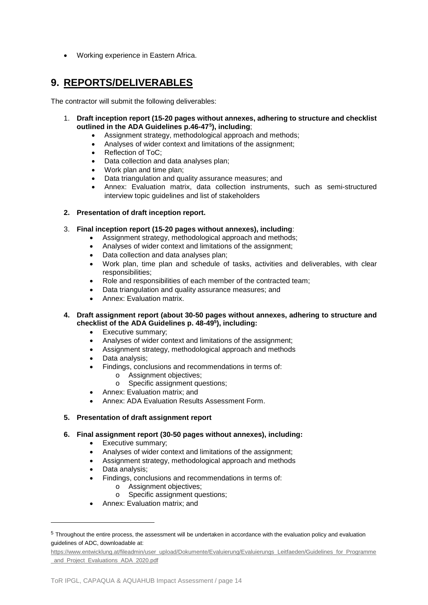• Working experience in Eastern Africa.

## **9. REPORTS/DELIVERABLES**

The contractor will submit the following deliverables:

- 1. **Draft inception report (15-20 pages without annexes, adhering to structure and checklist outlined in the ADA Guidelines p.46-47[5\)](#page-13-0), including**;
	- Assignment strategy, methodological approach and methods;
	- Analyses of wider context and limitations of the assignment;
	- Reflection of ToC;
	- Data collection and data analyses plan;
	- Work plan and time plan;
	- Data triangulation and quality assurance measures; and
	- Annex: Evaluation matrix, data collection instruments, such as semi-structured interview topic guidelines and list of stakeholders
- **2. Presentation of draft inception report.**

### 3. **Final inception report (15-20 pages without annexes), including**:

- Assignment strategy, methodological approach and methods;
- Analyses of wider context and limitations of the assignment;
- Data collection and data analyses plan;
- Work plan, time plan and schedule of tasks, activities and deliverables, with clear responsibilities;
- Role and responsibilities of each member of the contracted team;
- Data triangulation and quality assurance measures; and
- Annex: Evaluation matrix.

### **4. Draft assignment report (about 30-50 pages without annexes, adhering to structure and checklist of the ADA Guidelines p. 48-495), including:**

- Executive summary;
- Analyses of wider context and limitations of the assignment;
- Assignment strategy, methodological approach and methods
- Data analysis;
- Findings, conclusions and recommendations in terms of:
	- o Assignment objectives;<br>o Specific assignment que
		- Specific assignment questions;
- Annex: Evaluation matrix; and
- Annex: ADA Evaluation Results Assessment Form.

### **5. Presentation of draft assignment report**

### **6. Final assignment report (30-50 pages without annexes), including:**

- Executive summary;
- Analyses of wider context and limitations of the assignment;
- Assignment strategy, methodological approach and methods
- Data analysis;

-

- Findings, conclusions and recommendations in terms of:
	- o Assignment objectives;
	- o Specific assignment questions;
- Annex: Evaluation matrix; and

<span id="page-13-0"></span><sup>5</sup> Throughout the entire process, the assessment will be undertaken in accordance with the evaluation policy and evaluation guidelines of ADC, downloadable at:

[https://www.entwicklung.at/fileadmin/user\\_upload/Dokumente/Evaluierung/Evaluierungs\\_Leitfaeden/Guidelines\\_for\\_Programme](https://www.entwicklung.at/fileadmin/user_upload/Dokumente/Evaluierung/Evaluierungs_Leitfaeden/Guidelines_for_Programme_and_Project_Evaluations_ADA_2020.pdf) [\\_and\\_Project\\_Evaluations\\_ADA\\_2020.pdf](https://www.entwicklung.at/fileadmin/user_upload/Dokumente/Evaluierung/Evaluierungs_Leitfaeden/Guidelines_for_Programme_and_Project_Evaluations_ADA_2020.pdf)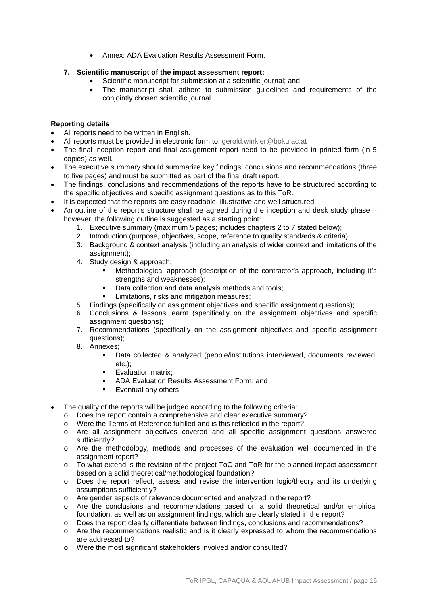• Annex: ADA Evaluation Results Assessment Form.

## **7. Scientific manuscript of the impact assessment report:**

- Scientific manuscript for submission at a scientific journal; and
- The manuscript shall adhere to submission guidelines and requirements of the conjointly chosen scientific journal.

## **Reporting details**

- All reports need to be written in English.
- All reports must be provided in electronic form to: [gerold.winkler@boku.ac.at](mailto:gerold.winkler@boku.ac.at)
- The final inception report and final assignment report need to be provided in printed form (in 5 copies) as well.
- The executive summary should summarize key findings, conclusions and recommendations (three to five pages) and must be submitted as part of the final draft report.
- The findings, conclusions and recommendations of the reports have to be structured according to the specific objectives and specific assignment questions as to this ToR.
- It is expected that the reports are easy readable, illustrative and well structured.
- An outline of the report's structure shall be agreed during the inception and desk study phase however, the following outline is suggested as a starting point:
	- 1. Executive summary (maximum 5 pages; includes chapters 2 to 7 stated below);
	- 2. Introduction (purpose, objectives, scope, reference to quality standards & criteria)
	- 3. Background & context analysis (including an analysis of wider context and limitations of the assignment);
	- 4. Study design & approach;
		- Methodological approach (description of the contractor's approach, including it's strengths and weaknesses);
		- Data collection and data analysis methods and tools;
		- Limitations, risks and mitigation measures;
	- 5. Findings (specifically on assignment objectives and specific assignment questions);
	- 6. Conclusions & lessons learnt (specifically on the assignment objectives and specific assignment questions);
	- 7. Recommendations (specifically on the assignment objectives and specific assignment questions);
	- 8. Annexes;
		- Data collected & analyzed (people/institutions interviewed, documents reviewed, etc.);
		- **Evaluation matrix;**
		- **ADA Evaluation Results Assessment Form; and**
		- **Exentual any others.**
- The quality of the reports will be judged according to the following criteria:
	- o Does the report contain a comprehensive and clear executive summary?
	- o Were the Terms of Reference fulfilled and is this reflected in the report?
	- o Are all assignment objectives covered and all specific assignment questions answered sufficiently?
	- o Are the methodology, methods and processes of the evaluation well documented in the assignment report?
	- o To what extend is the revision of the project ToC and ToR for the planned impact assessment based on a solid theoretical/methodological foundation?
	- o Does the report reflect, assess and revise the intervention logic/theory and its underlying assumptions sufficiently?
	- o Are gender aspects of relevance documented and analyzed in the report?
	- o Are the conclusions and recommendations based on a solid theoretical and/or empirical foundation, as well as on assignment findings, which are clearly stated in the report?
	- o Does the report clearly differentiate between findings, conclusions and recommendations?
	- o Are the recommendations realistic and is it clearly expressed to whom the recommendations are addressed to?
	- o Were the most significant stakeholders involved and/or consulted?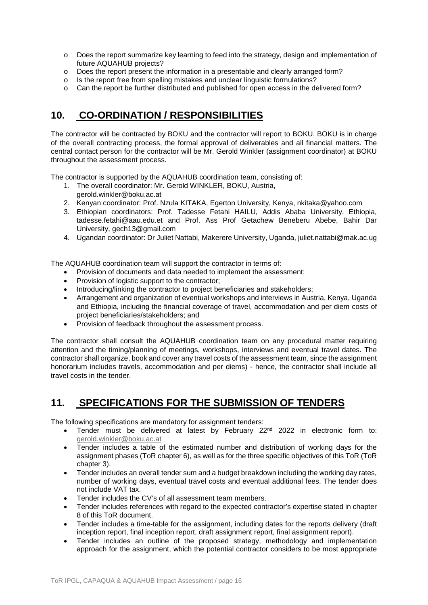- o Does the report summarize key learning to feed into the strategy, design and implementation of future AQUAHUB projects?
- o Does the report present the information in a presentable and clearly arranged form?
- o Is the report free from spelling mistakes and unclear linguistic formulations?
- o Can the report be further distributed and published for open access in the delivered form?

# **10. CO-ORDINATION / RESPONSIBILITIES**

The contractor will be contracted by BOKU and the contractor will report to BOKU. BOKU is in charge of the overall contracting process, the formal approval of deliverables and all financial matters. The central contact person for the contractor will be Mr. Gerold Winkler (assignment coordinator) at BOKU throughout the assessment process.

The contractor is supported by the AQUAHUB coordination team, consisting of:

- 1. The overall coordinator: Mr. Gerold WINKLER, BOKU, Austria,
- [gerold.winkler@boku.ac.at](mailto:gerold.winkler@boku.ac.at)
- 2. Kenyan coordinator: Prof. Nzula KITAKA, Egerton University, Kenya, [nkitaka@yahoo.com](mailto:nkitaka@yahoo.com)
- 3. Ethiopian coordinators: Prof. Tadesse Fetahi HAILU, Addis Ababa University, Ethiopia, tadesse.fetahi@aau.edu.et and Prof. Ass Prof Getachew Beneberu Abebe, Bahir Dar University, [gech13@gmail.com](mailto:gech13@gmail.com)
- 4. Ugandan coordinator: Dr Juliet Nattabi, Makerere University, Uganda, juliet.nattabi@mak.ac.ug

The AQUAHUB coordination team will support the contractor in terms of:

- Provision of documents and data needed to implement the assessment;
- Provision of logistic support to the contractor;
- Introducing/linking the contractor to project beneficiaries and stakeholders;
- Arrangement and organization of eventual workshops and interviews in Austria, Kenya, Uganda and Ethiopia, including the financial coverage of travel, accommodation and per diem costs of project beneficiaries/stakeholders; and
- Provision of feedback throughout the assessment process.

The contractor shall consult the AQUAHUB coordination team on any procedural matter requiring attention and the timing/planning of meetings, workshops, interviews and eventual travel dates. The contractor shall organize, book and cover any travel costs of the assessment team, since the assignment honorarium includes travels, accommodation and per diems) - hence, the contractor shall include all travel costs in the tender.

## **11. SPECIFICATIONS FOR THE SUBMISSION OF TENDERS**

The following specifications are mandatory for assignment tenders:

- Tender must be delivered at latest by February 22nd 2022 in electronic form to: [gerold.winkler@boku.ac.at](mailto:gerold.winkler@boku.ac.at)
- Tender includes a table of the estimated number and distribution of working days for the assignment phases (ToR chapter 6), as well as for the three specific objectives of this ToR (ToR chapter 3).
- Tender includes an overall tender sum and a budget breakdown including the working day rates, number of working days, eventual travel costs and eventual additional fees. The tender does not include VAT tax.
- Tender includes the CV's of all assessment team members.
- Tender includes references with regard to the expected contractor's expertise stated in chapter 8 of this ToR document.
- Tender includes a time-table for the assignment, including dates for the reports delivery (draft inception report, final inception report, draft assignment report, final assignment report).
- Tender includes an outline of the proposed strategy, methodology and implementation approach for the assignment, which the potential contractor considers to be most appropriate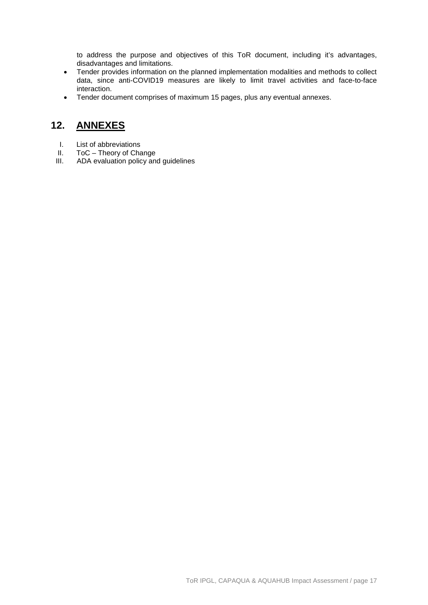to address the purpose and objectives of this ToR document, including it's advantages, disadvantages and limitations.

- Tender provides information on the planned implementation modalities and methods to collect data, since anti-COVID19 measures are likely to limit travel activities and face-to-face interaction.
- Tender document comprises of maximum 15 pages, plus any eventual annexes.

## **12. ANNEXES**

- I. List of abbreviations<br>II. ToC Theory of Cha
- II. ToC Theory of Change<br>III. ADA evaluation policy and
- ADA evaluation policy and guidelines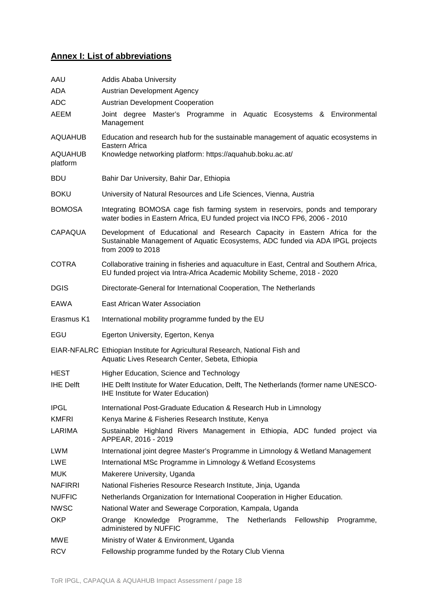# **Annex I: List of abbreviations**

| AAU                        | <b>Addis Ababa University</b>                                                                                                                                                     |  |  |  |  |  |
|----------------------------|-----------------------------------------------------------------------------------------------------------------------------------------------------------------------------------|--|--|--|--|--|
| ADA                        | <b>Austrian Development Agency</b>                                                                                                                                                |  |  |  |  |  |
| <b>ADC</b>                 | <b>Austrian Development Cooperation</b>                                                                                                                                           |  |  |  |  |  |
| AEEM                       | Joint degree Master's Programme in Aquatic Ecosystems & Environmental<br>Management                                                                                               |  |  |  |  |  |
| <b>AQUAHUB</b>             | Education and research hub for the sustainable management of aquatic ecosystems in                                                                                                |  |  |  |  |  |
| <b>AQUAHUB</b><br>platform | Eastern Africa<br>Knowledge networking platform: https://aquahub.boku.ac.at/                                                                                                      |  |  |  |  |  |
| BDU                        | Bahir Dar University, Bahir Dar, Ethiopia                                                                                                                                         |  |  |  |  |  |
| <b>BOKU</b>                | University of Natural Resources and Life Sciences, Vienna, Austria                                                                                                                |  |  |  |  |  |
| <b>BOMOSA</b>              | Integrating BOMOSA cage fish farming system in reservoirs, ponds and temporary<br>water bodies in Eastern Africa, EU funded project via INCO FP6, 2006 - 2010                     |  |  |  |  |  |
| <b>CAPAQUA</b>             | Development of Educational and Research Capacity in Eastern Africa for the<br>Sustainable Management of Aquatic Ecosystems, ADC funded via ADA IPGL projects<br>from 2009 to 2018 |  |  |  |  |  |
| <b>COTRA</b>               | Collaborative training in fisheries and aquaculture in East, Central and Southern Africa,<br>EU funded project via Intra-Africa Academic Mobility Scheme, 2018 - 2020             |  |  |  |  |  |
| <b>DGIS</b>                | Directorate-General for International Cooperation, The Netherlands                                                                                                                |  |  |  |  |  |
| EAWA                       | East African Water Association                                                                                                                                                    |  |  |  |  |  |
| Erasmus K1                 | International mobility programme funded by the EU                                                                                                                                 |  |  |  |  |  |
| EGU                        | Egerton University, Egerton, Kenya                                                                                                                                                |  |  |  |  |  |
|                            | EIAR-NFALRC Ethiopian Institute for Agricultural Research, National Fish and<br>Aquatic Lives Research Center, Sebeta, Ethiopia                                                   |  |  |  |  |  |
| <b>HEST</b>                | Higher Education, Science and Technology                                                                                                                                          |  |  |  |  |  |
| <b>IHE Delft</b>           | IHE Delft Institute for Water Education, Delft, The Netherlands (former name UNESCO-<br><b>IHE Institute for Water Education)</b>                                                 |  |  |  |  |  |
| <b>IPGL</b>                | International Post-Graduate Education & Research Hub in Limnology                                                                                                                 |  |  |  |  |  |
| <b>KMFRI</b>               | Kenya Marine & Fisheries Research Institute, Kenya                                                                                                                                |  |  |  |  |  |
| LARIMA                     | Sustainable Highland Rivers Management in Ethiopia, ADC funded project via<br>APPEAR, 2016 - 2019                                                                                 |  |  |  |  |  |
| LWM                        | International joint degree Master's Programme in Limnology & Wetland Management                                                                                                   |  |  |  |  |  |
| LWE                        | International MSc Programme in Limnology & Wetland Ecosystems                                                                                                                     |  |  |  |  |  |
| <b>MUK</b>                 | Makerere University, Uganda                                                                                                                                                       |  |  |  |  |  |
| <b>NAFIRRI</b>             | National Fisheries Resource Research Institute, Jinja, Uganda                                                                                                                     |  |  |  |  |  |
| <b>NUFFIC</b>              | Netherlands Organization for International Cooperation in Higher Education.                                                                                                       |  |  |  |  |  |
| <b>NWSC</b>                | National Water and Sewerage Corporation, Kampala, Uganda                                                                                                                          |  |  |  |  |  |
| <b>OKP</b>                 | Programme, The Netherlands<br>Knowledge<br>Fellowship<br>Programme,<br>Orange<br>administered by NUFFIC                                                                           |  |  |  |  |  |
| <b>MWE</b>                 | Ministry of Water & Environment, Uganda                                                                                                                                           |  |  |  |  |  |
| <b>RCV</b>                 | Fellowship programme funded by the Rotary Club Vienna                                                                                                                             |  |  |  |  |  |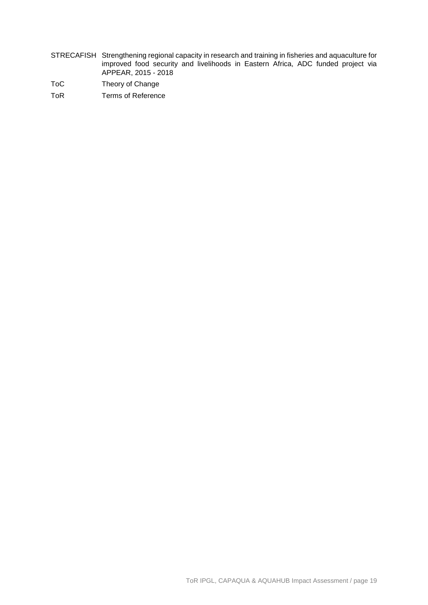- STRECAFISH Strengthening regional capacity in research and training in fisheries and aquaculture for improved food security and livelihoods in Eastern Africa, ADC funded project via APPEAR, 2015 - 2018
- ToC Theory of Change
- ToR Terms of Reference